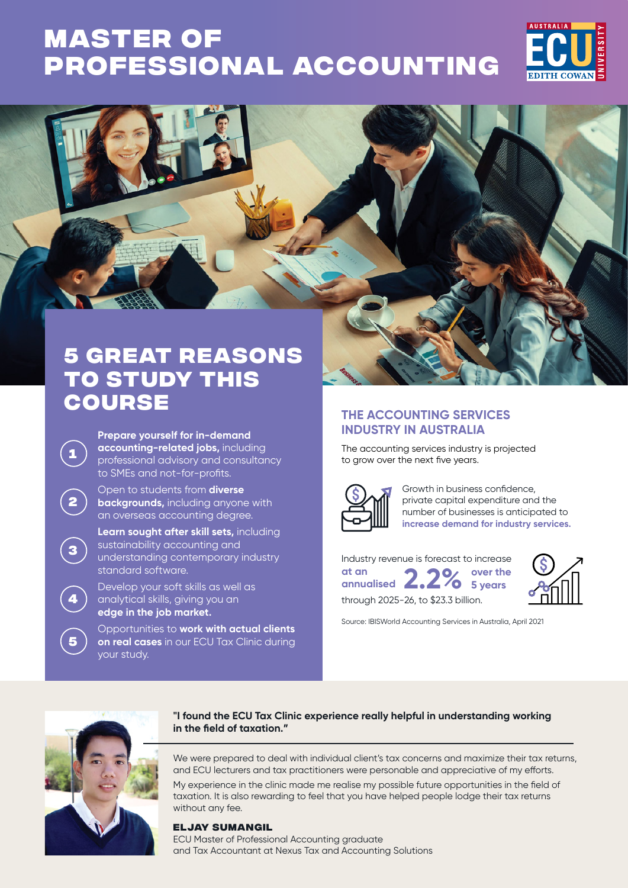# **Master of [Professional Accounting](https://www.ecu.edu.au/degrees/courses/master-of-professional-accounting)**





## **5 great reasons to study this course**

**Prepare yourself for in-demand accounting-related jobs,** including professional advisory and consultancy to SMEs and not-for-profits.

Open to students from **diverse backgrounds,** including anyone with an overseas accounting degree.

**Learn sought after skill sets,** including sustainability accounting and understanding contemporary industry standard software.

Develop your soft skills as well as analytical skills, giving you an **edge in the job market.**

Opportunities to **work with actual clients on real cases** in our ECU Tax Clinic during your study.

## **THE ACCOUNTING SERVICES INDUSTRY IN AUSTRALIA**

The accounting services industry is projected to grow over the next five years.



Growth in business confidence, private capital expenditure and the number of businesses is anticipated to **increase demand for industry services.**

Industry revenue is forecast to increase **at an annualised 2.2% over the 5 years** through 2025-26, to \$23.3 billion.



Source: IBISWorld Accounting Services in Australia, April 2021



**1**

**2**

**3**

**4**

**5**

### **"I found the ECU Tax Clinic experience really helpful in understanding working in the field of taxation."**

We were prepared to deal with individual client's tax concerns and maximize their tax returns, and ECU lecturers and tax practitioners were personable and appreciative of my efforts.

My experience in the clinic made me realise my possible future opportunities in the field of taxation. It is also rewarding to feel that you have helped people lodge their tax returns without any fee.

## **Eljay Sumangil**

ECU Master of Professional Accounting graduate and Tax Accountant at Nexus Tax and Accounting Solutions